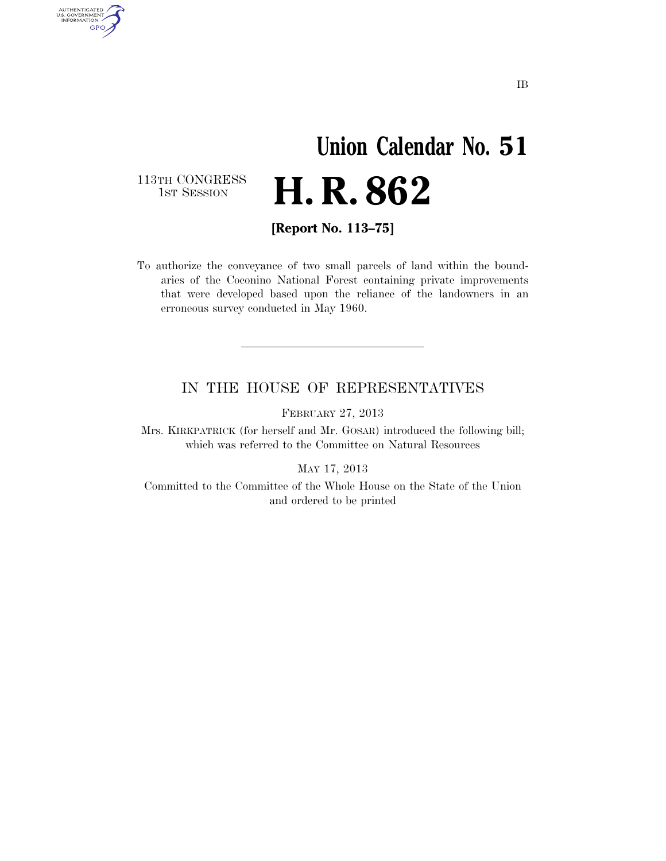## **Union Calendar No. 51**  H. R. 862

113TH CONGRESS<br>1st Session

AUTHENTICATED<br>U.S. GOVERNMENT<br>INFORMATION GPO

**[Report No. 113–75]** 

To authorize the conveyance of two small parcels of land within the boundaries of the Coconino National Forest containing private improvements that were developed based upon the reliance of the landowners in an erroneous survey conducted in May 1960.

## IN THE HOUSE OF REPRESENTATIVES

FEBRUARY 27, 2013

Mrs. KIRKPATRICK (for herself and Mr. GOSAR) introduced the following bill; which was referred to the Committee on Natural Resources

MAY 17, 2013

Committed to the Committee of the Whole House on the State of the Union and ordered to be printed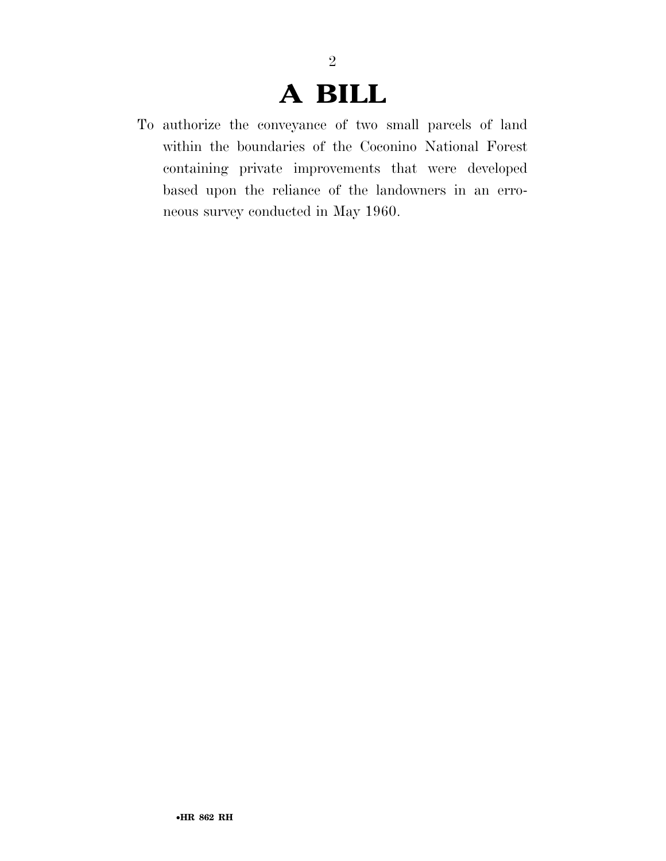## **A BILL**

2

To authorize the conveyance of two small parcels of land within the boundaries of the Coconino National Forest containing private improvements that were developed based upon the reliance of the landowners in an erroneous survey conducted in May 1960.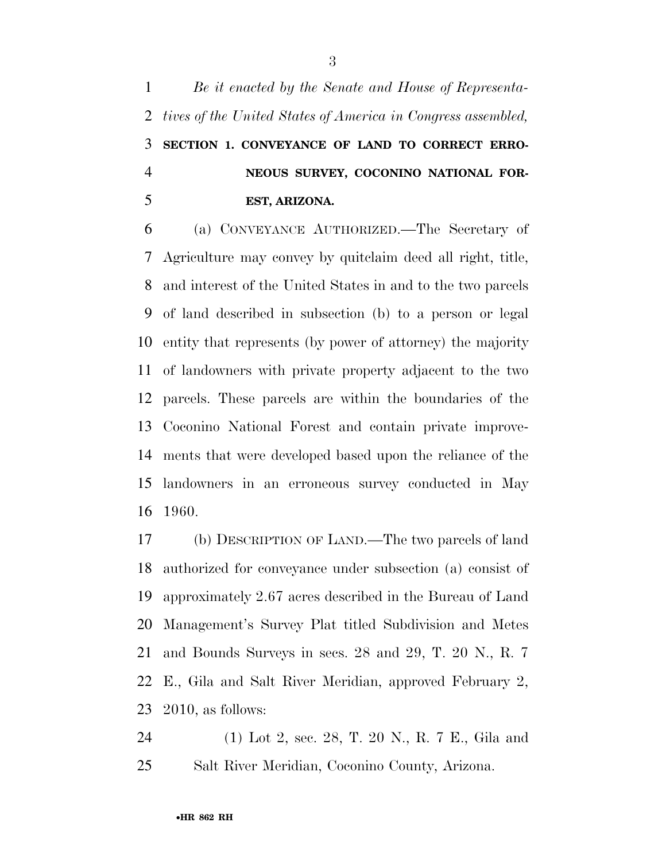*Be it enacted by the Senate and House of Representa- tives of the United States of America in Congress assembled,*  **SECTION 1. CONVEYANCE OF LAND TO CORRECT ERRO- NEOUS SURVEY, COCONINO NATIONAL FOR-EST, ARIZONA.** 

 (a) CONVEYANCE AUTHORIZED.—The Secretary of Agriculture may convey by quitclaim deed all right, title, and interest of the United States in and to the two parcels of land described in subsection (b) to a person or legal entity that represents (by power of attorney) the majority of landowners with private property adjacent to the two parcels. These parcels are within the boundaries of the Coconino National Forest and contain private improve- ments that were developed based upon the reliance of the landowners in an erroneous survey conducted in May 1960.

 (b) DESCRIPTION OF LAND.—The two parcels of land authorized for conveyance under subsection (a) consist of approximately 2.67 acres described in the Bureau of Land Management's Survey Plat titled Subdivision and Metes and Bounds Surveys in secs. 28 and 29, T. 20 N., R. 7 E., Gila and Salt River Meridian, approved February 2, 2010, as follows:

 (1) Lot 2, sec. 28, T. 20 N., R. 7 E., Gila and Salt River Meridian, Coconino County, Arizona.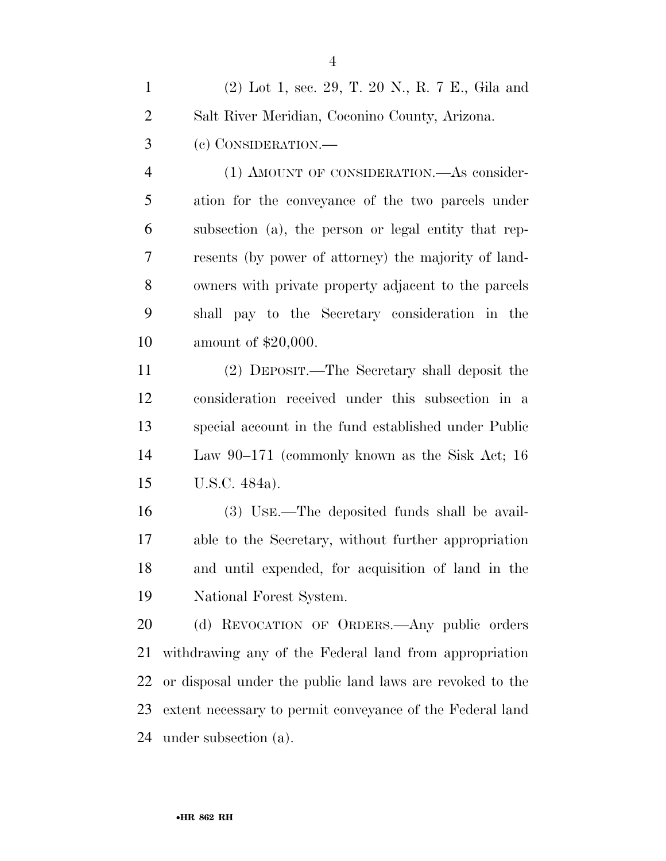|           | (2) Lot 1, sec. 29, T. 20 N., R. 7 E., Gila and |
|-----------|-------------------------------------------------|
| 2         | Salt River Meridian, Coconino County, Arizona.  |
| $3 \quad$ | (c) CONSIDERATION.—                             |

 (1) AMOUNT OF CONSIDERATION.—As consider- ation for the conveyance of the two parcels under subsection (a), the person or legal entity that rep- resents (by power of attorney) the majority of land- owners with private property adjacent to the parcels shall pay to the Secretary consideration in the amount of \$20,000.

 (2) DEPOSIT.—The Secretary shall deposit the consideration received under this subsection in a special account in the fund established under Public Law 90–171 (commonly known as the Sisk Act; 16 U.S.C. 484a).

 (3) USE.—The deposited funds shall be avail- able to the Secretary, without further appropriation and until expended, for acquisition of land in the National Forest System.

 (d) REVOCATION OF ORDERS.—Any public orders withdrawing any of the Federal land from appropriation or disposal under the public land laws are revoked to the extent necessary to permit conveyance of the Federal land under subsection (a).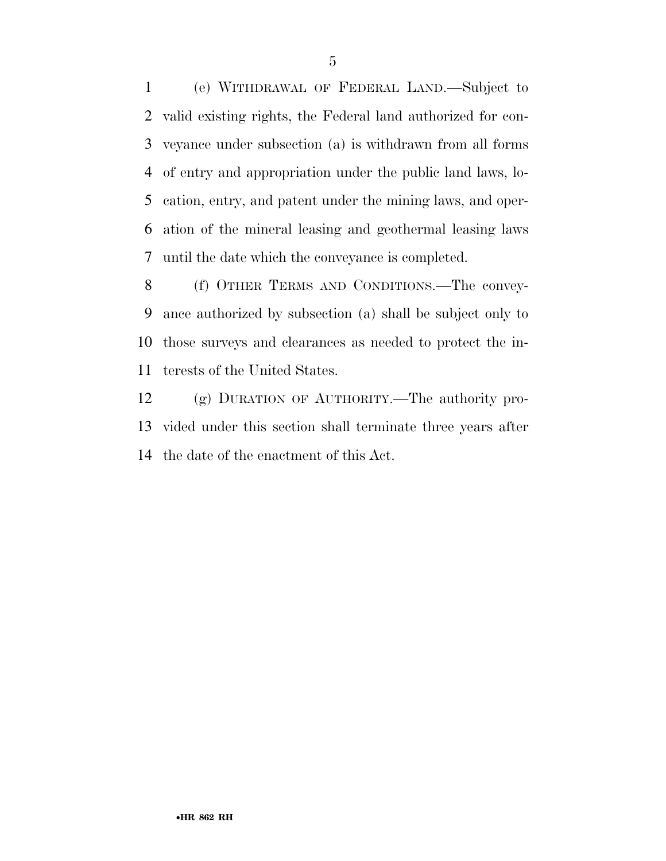(e) WITHDRAWAL OF FEDERAL LAND.—Subject to valid existing rights, the Federal land authorized for con- veyance under subsection (a) is withdrawn from all forms of entry and appropriation under the public land laws, lo- cation, entry, and patent under the mining laws, and oper- ation of the mineral leasing and geothermal leasing laws until the date which the conveyance is completed.

 (f) OTHER TERMS AND CONDITIONS.—The convey- ance authorized by subsection (a) shall be subject only to those surveys and clearances as needed to protect the in-terests of the United States.

 (g) DURATION OF AUTHORITY.—The authority pro- vided under this section shall terminate three years after the date of the enactment of this Act.